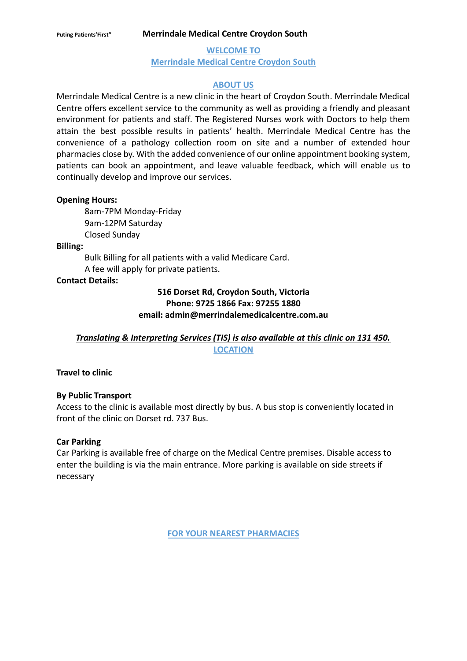**WELCOME TO Merrindale Medical Centre Croydon South**

## **ABOUT US**

Merrindale Medical Centre is a new clinic in the heart of Croydon South. Merrindale Medical Centre offers excellent service to the community as well as providing a friendly and pleasant environment for patients and staff. The Registered Nurses work with Doctors to help them attain the best possible results in patients' health. Merrindale Medical Centre has the convenience of a pathology collection room on site and a number of extended hour pharmacies close by. With the added convenience of our online appointment booking system, patients can book an appointment, and leave valuable feedback, which will enable us to continually develop and improve our services.

### **Opening Hours:**

8am-7PM Monday-Friday 9am-12PM Saturday Closed Sunday

#### **Billing:**

Bulk Billing for all patients with a valid Medicare Card. A fee will apply for private patients.

### **Contact Details:**

## **516 Dorset Rd, Croydon South, Victoria Phone: 9725 1866 Fax: 97255 1880 email: admin@merrindalemedicalcentre.com.au**

*Translating & Interpreting Services (TIS) is also available at this clinic on 131 450.* **LOCATION**

#### **Travel to clinic**

#### **By Public Transport**

Access to the clinic is available most directly by bus. A bus stop is conveniently located in front of the clinic on Dorset rd. 737 Bus.

### **Car Parking**

Car Parking is available free of charge on the Medical Centre premises. Disable access to enter the building is via the main entrance. More parking is available on side streets if necessary

**FOR YOUR NEAREST PHARMACIES**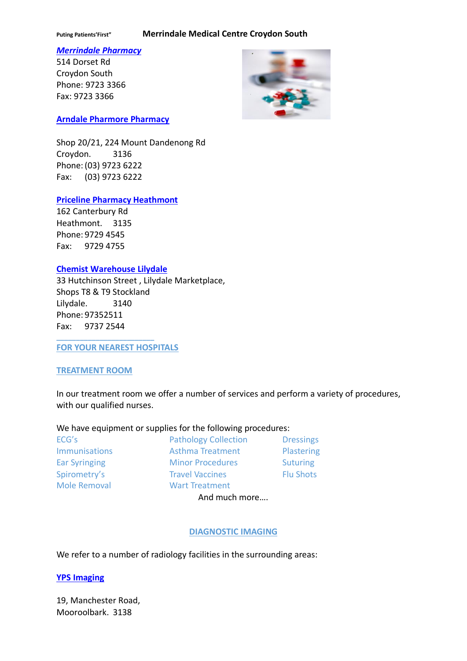#### *Merrindale Pharmacy*

514 Dorset Rd Croydon South Phone: 9723 3366 Fax: 9723 3366



### **Arndale Pharmore Pharmacy**

Shop 20/21, 224 Mount Dandenong Rd Croydon. 3136 Phone: (03) 9723 6222 Fax: (03) 9723 6222

## **Priceline Pharmacy Heathmont**

162 Canterbury Rd Heathmont. 3135 Phone: 9729 4545 Fax: 9729 4755

### **Chemist Warehouse Lilydale**

33 Hutchinson Street , Lilydale Marketplace, Shops T8 & T9 Stockland Lilydale. 3140 Phone: 97352511 Fax: 9737 2544

**FOR YOUR NEAREST HOSPITALS**

**\_\_\_\_\_\_\_\_\_\_\_\_\_\_\_\_\_\_\_\_\_\_\_\_\_**

#### **TREATMENT ROOM**

In our treatment room we offer a number of services and perform a variety of procedures, with our qualified nurses.

#### We have equipment or supplies for the following procedures:

| ECG's                | <b>Pathology Collection</b> | <b>Dressings</b> |
|----------------------|-----------------------------|------------------|
| <b>Immunisations</b> | <b>Asthma Treatment</b>     | Plastering       |
| <b>Ear Syringing</b> | <b>Minor Procedures</b>     | <b>Suturing</b>  |
| Spirometry's         | <b>Travel Vaccines</b>      | <b>Flu Shots</b> |
| <b>Mole Removal</b>  | <b>Wart Treatment</b>       |                  |
|                      | And much more               |                  |

# **DIAGNOSTIC IMAGING**

We refer to a number of radiology facilities in the surrounding areas:

#### **YPS Imaging**

19, Manchester Road, Mooroolbark. 3138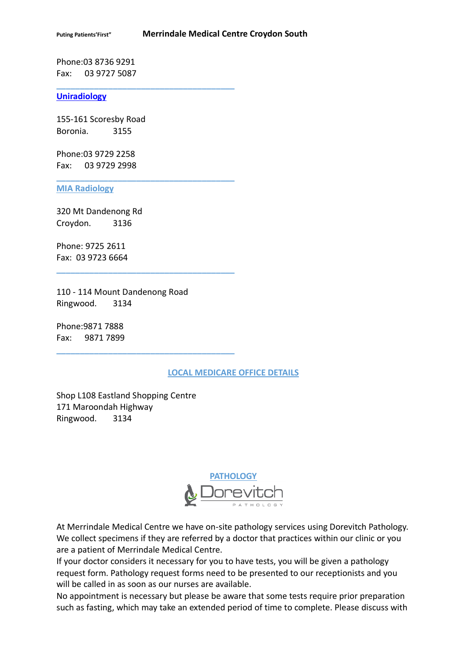Phone:03 8736 9291 Fax: 03 9727 5087

#### **Uniradiology**

155-161 Scoresby Road Boronia. 3155

**\_\_\_\_\_\_\_\_\_\_\_\_\_\_\_\_\_\_\_\_\_\_\_\_\_\_\_\_\_\_\_\_\_\_\_\_\_\_**

**\_\_\_\_\_\_\_\_\_\_\_\_\_\_\_\_\_\_\_\_\_\_\_\_\_\_\_\_\_\_\_\_\_\_\_\_\_\_**

**\_\_\_\_\_\_\_\_\_\_\_\_\_\_\_\_\_\_\_\_\_\_\_\_\_\_\_\_\_\_\_\_\_\_\_\_\_\_**

**\_\_\_\_\_\_\_\_\_\_\_\_\_\_\_\_\_\_\_\_\_\_\_\_\_\_\_\_\_\_\_\_\_\_\_\_\_\_**

Phone:03 9729 2258 Fax: 03 9729 2998

#### **MIA Radiology**

320 Mt Dandenong Rd Croydon. 3136

Phone: 9725 2611 Fax: 03 9723 6664

110 - 114 Mount Dandenong Road Ringwood. 3134

Phone:9871 7888 Fax: 9871 7899

#### **LOCAL MEDICARE OFFICE DETAILS**

Shop L108 Eastland Shopping Centre 171 Maroondah Highway Ringwood. 3134



At Merrindale Medical Centre we have on-site pathology services using Dorevitch Pathology. We collect specimens if they are referred by a doctor that practices within our clinic or you are a patient of Merrindale Medical Centre.

If your doctor considers it necessary for you to have tests, you will be given a pathology request form. Pathology request forms need to be presented to our receptionists and you will be called in as soon as our nurses are available.

No appointment is necessary but please be aware that some tests require prior preparation such as fasting, which may take an extended period of time to complete. Please discuss with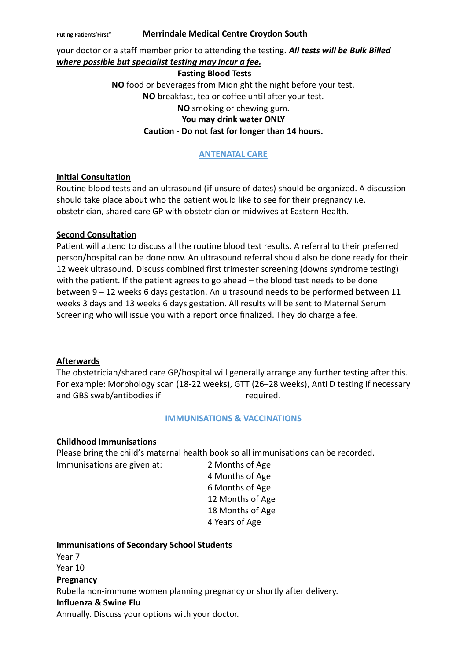your doctor or a staff member prior to attending the testing. *All tests will be Bulk Billed where possible but specialist testing may incur a fee.*

#### **Fasting Blood Tests**

**NO** food or beverages from Midnight the night before your test. **NO** breakfast, tea or coffee until after your test. **NO** smoking or chewing gum. **You may drink water ONLY Caution - Do not fast for longer than 14 hours.**

# **ANTENATAL CARE**

# **Initial Consultation**

Routine blood tests and an ultrasound (if unsure of dates) should be organized. A discussion should take place about who the patient would like to see for their pregnancy i.e. obstetrician, shared care GP with obstetrician or midwives at Eastern Health.

# **Second Consultation**

Patient will attend to discuss all the routine blood test results. A referral to their preferred person/hospital can be done now. An ultrasound referral should also be done ready for their 12 week ultrasound. Discuss combined first trimester screening (downs syndrome testing) with the patient. If the patient agrees to go ahead – the blood test needs to be done between 9 – 12 weeks 6 days gestation. An ultrasound needs to be performed between 11 weeks 3 days and 13 weeks 6 days gestation. All results will be sent to Maternal Serum Screening who will issue you with a report once finalized. They do charge a fee.

# **Afterwards**

The obstetrician/shared care GP/hospital will generally arrange any further testing after this. For example: Morphology scan (18-22 weeks), GTT (26–28 weeks), Anti D testing if necessary and GBS swab/antibodies if required.

# **IMMUNISATIONS & VACCINATIONS**

## **Childhood Immunisations**

Please bring the child's maternal health book so all immunisations can be recorded.

Immunisations are given at: 2 Months of Age 4 Months of Age 6 Months of Age 12 Months of Age 18 Months of Age 4 Years of Age

# **Immunisations of Secondary School Students**

Year 7 Year 10 **Pregnancy** Rubella non-immune women planning pregnancy or shortly after delivery. **Influenza & Swine Flu** Annually. Discuss your options with your doctor.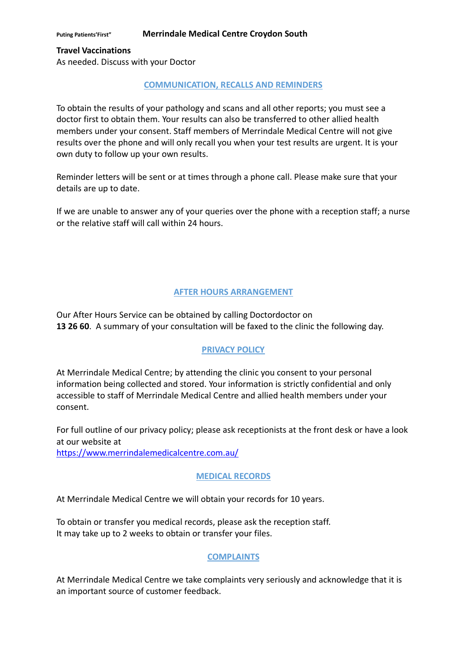**Travel Vaccinations**

As needed. Discuss with your Doctor

## **COMMUNICATION, RECALLS AND REMINDERS**

To obtain the results of your pathology and scans and all other reports; you must see a doctor first to obtain them. Your results can also be transferred to other allied health members under your consent. Staff members of Merrindale Medical Centre will not give results over the phone and will only recall you when your test results are urgent. It is your own duty to follow up your own results.

Reminder letters will be sent or at times through a phone call. Please make sure that your details are up to date.

If we are unable to answer any of your queries over the phone with a reception staff; a nurse or the relative staff will call within 24 hours.

# **AFTER HOURS ARRANGEMENT**

Our After Hours Service can be obtained by calling Doctordoctor on **13 26 60**. A summary of your consultation will be faxed to the clinic the following day.

# **PRIVACY POLICY**

At Merrindale Medical Centre; by attending the clinic you consent to your personal information being collected and stored. Your information is strictly confidential and only accessible to staff of Merrindale Medical Centre and allied health members under your consent.

For full outline of our privacy policy; please ask receptionists at the front desk or have a look at our website at <https://www.merrindalemedicalcentre.com.au/>

## **MEDICAL RECORDS**

At Merrindale Medical Centre we will obtain your records for 10 years.

To obtain or transfer you medical records, please ask the reception staff. It may take up to 2 weeks to obtain or transfer your files.

# **COMPLAINTS**

At Merrindale Medical Centre we take complaints very seriously and acknowledge that it is an important source of customer feedback.